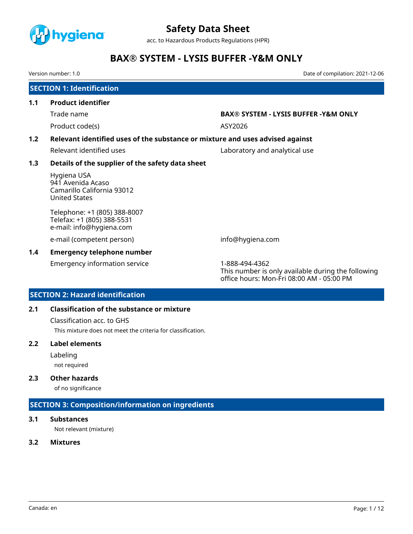

acc. to Hazardous Products Regulations (HPR)

# **BAX® SYSTEM - LYSIS BUFFER -Y&M ONLY**

Version number: 1.0 Date of compilation: 2021-12-06

|               | <b>SECTION 1: Identification</b>                                                       |                                                                                                                   |  |  |  |  |
|---------------|----------------------------------------------------------------------------------------|-------------------------------------------------------------------------------------------------------------------|--|--|--|--|
| 1.1           | <b>Product identifier</b>                                                              |                                                                                                                   |  |  |  |  |
|               | Trade name                                                                             | <b>BAX® SYSTEM - LYSIS BUFFER -Y&amp;M ONLY</b>                                                                   |  |  |  |  |
|               | Product code(s)                                                                        | ASY2026                                                                                                           |  |  |  |  |
| 1.2           |                                                                                        | Relevant identified uses of the substance or mixture and uses advised against                                     |  |  |  |  |
|               | Relevant identified uses                                                               | Laboratory and analytical use                                                                                     |  |  |  |  |
| 1.3           | Details of the supplier of the safety data sheet                                       |                                                                                                                   |  |  |  |  |
|               | Hygiena USA<br>941 Avenida Acaso<br>Camarillo California 93012<br><b>United States</b> |                                                                                                                   |  |  |  |  |
|               | Telephone: +1 (805) 388-8007<br>Telefax: +1 (805) 388-5531<br>e-mail: info@hygiena.com |                                                                                                                   |  |  |  |  |
|               | e-mail (competent person)                                                              | info@hygiena.com                                                                                                  |  |  |  |  |
| $1.4^{\circ}$ | <b>Emergency telephone number</b>                                                      |                                                                                                                   |  |  |  |  |
|               | <b>Emergency information service</b>                                                   | 1-888-494-4362<br>This number is only available during the following<br>office hours: Mon-Fri 08:00 AM - 05:00 PM |  |  |  |  |

# **SECTION 2: Hazard identification**

## **2.1 Classification of the substance or mixture**

Classification acc. to GHS

This mixture does not meet the criteria for classification.

## **2.2 Label elements**

Labeling

not required

# **2.3 Other hazards**

of no significance

# **SECTION 3: Composition/information on ingredients**

## **3.1 Substances**

Not relevant (mixture)

## **3.2 Mixtures**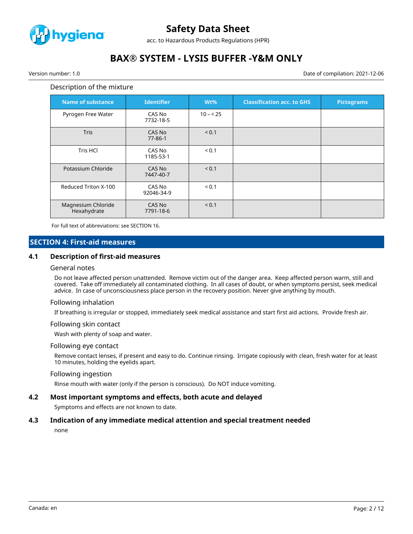

acc. to Hazardous Products Regulations (HPR)

# **BAX® SYSTEM - LYSIS BUFFER -Y&M ONLY**

Version number: 1.0 Date of compilation: 2021-12-06

#### Description of the mixture

| <b>Name of substance</b>          | <b>Identifier</b>       | Wt%        | <b>Classification acc. to GHS</b> | <b>Pictograms</b> |
|-----------------------------------|-------------------------|------------|-----------------------------------|-------------------|
| Pyrogen Free Water                | CAS No<br>7732-18-5     | $10 - 25$  |                                   |                   |
| <b>Tris</b>                       | CAS No<br>$77 - 86 - 1$ | < 0.1      |                                   |                   |
| <b>Tris HCI</b>                   | CAS No<br>1185-53-1     | < 0.1      |                                   |                   |
| Potassium Chloride                | CAS No<br>7447-40-7     | < 0.1      |                                   |                   |
| Reduced Triton X-100              | CAS No<br>92046-34-9    | ${}_{0.1}$ |                                   |                   |
| Magnesium Chloride<br>Hexahydrate | CAS No<br>7791-18-6     | < 0.1      |                                   |                   |

For full text of abbreviations: see SECTION 16.

## **SECTION 4: First-aid measures**

#### **4.1 Description of first-aid measures**

#### General notes

Do not leave affected person unattended. Remove victim out of the danger area. Keep affected person warm, still and covered. Take off immediately all contaminated clothing. In all cases of doubt, or when symptoms persist, seek medical advice. In case of unconsciousness place person in the recovery position. Never give anything by mouth.

#### Following inhalation

If breathing is irregular or stopped, immediately seek medical assistance and start first aid actions. Provide fresh air.

#### Following skin contact

Wash with plenty of soap and water.

#### Following eye contact

Remove contact lenses, if present and easy to do. Continue rinsing. Irrigate copiously with clean, fresh water for at least 10 minutes, holding the eyelids apart.

#### Following ingestion

Rinse mouth with water (only if the person is conscious). Do NOT induce vomiting.

#### **4.2 Most important symptoms and effects, both acute and delayed**

Symptoms and effects are not known to date.

### **4.3 Indication of any immediate medical attention and special treatment needed**

none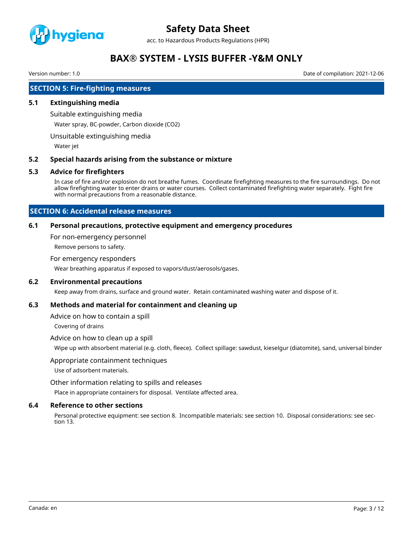

acc. to Hazardous Products Regulations (HPR)

# **BAX® SYSTEM - LYSIS BUFFER -Y&M ONLY**

Version number: 1.0 Date of compilation: 2021-12-06

# **SECTION 5: Fire-fighting measures**

### **5.1 Extinguishing media**

Suitable extinguishing media

Water spray, BC-powder, Carbon dioxide (CO2)

Unsuitable extinguishing media

Water jet

#### **5.2 Special hazards arising from the substance or mixture**

#### **5.3 Advice for firefighters**

In case of fire and/or explosion do not breathe fumes. Coordinate firefighting measures to the fire surroundings. Do not allow firefighting water to enter drains or water courses. Collect contaminated firefighting water separately. Fight fire with normal precautions from a reasonable distance.

# **SECTION 6: Accidental release measures**

#### **6.1 Personal precautions, protective equipment and emergency procedures**

For non-emergency personnel

Remove persons to safety.

#### For emergency responders

Wear breathing apparatus if exposed to vapors/dust/aerosols/gases.

## **6.2 Environmental precautions**

Keep away from drains, surface and ground water. Retain contaminated washing water and dispose of it.

### **6.3 Methods and material for containment and cleaning up**

Advice on how to contain a spill

Covering of drains

#### Advice on how to clean up a spill

Wipe up with absorbent material (e.g. cloth, fleece). Collect spillage: sawdust, kieselgur (diatomite), sand, universal binder

#### Appropriate containment techniques

Use of adsorbent materials.

Other information relating to spills and releases

Place in appropriate containers for disposal. Ventilate affected area.

#### **6.4 Reference to other sections**

Personal protective equipment: see section 8. Incompatible materials: see section 10. Disposal considerations: see section 13.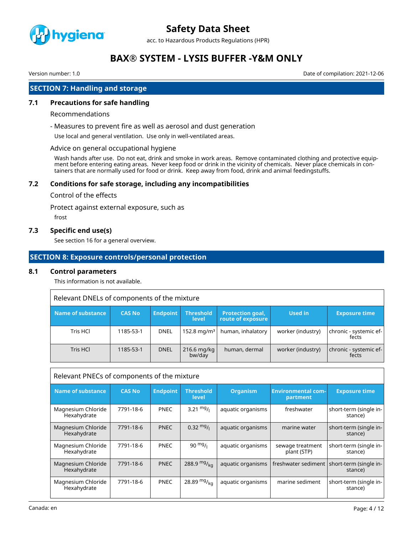

acc. to Hazardous Products Regulations (HPR)

# **BAX® SYSTEM - LYSIS BUFFER -Y&M ONLY**

Version number: 1.0 Date of compilation: 2021-12-06

# **SECTION 7: Handling and storage**

## **7.1 Precautions for safe handling**

#### Recommendations

- Measures to prevent fire as well as aerosol and dust generation

Use local and general ventilation. Use only in well-ventilated areas.

#### Advice on general occupational hygiene

Wash hands after use. Do not eat, drink and smoke in work areas. Remove contaminated clothing and protective equipment before entering eating areas. Never keep food or drink in the vicinity of chemicals. Never place chemicals in containers that are normally used for food or drink. Keep away from food, drink and animal feedingstuffs.

## **7.2 Conditions for safe storage, including any incompatibilities**

#### Control of the effects

Protect against external exposure, such as

frost

## **7.3 Specific end use(s)**

See section 16 for a general overview.

# **SECTION 8: Exposure controls/personal protection**

### **8.1 Control parameters**

This information is not available.

| Relevant DNELs of components of the mixture |               |                 |                           |                                       |                   |                                 |
|---------------------------------------------|---------------|-----------------|---------------------------|---------------------------------------|-------------------|---------------------------------|
| Name of substance                           | <b>CAS No</b> | <b>Endpoint</b> | <b>Threshold</b><br>level | Protection goal,<br>route of exposure | <b>Used in</b>    | <b>Exposure time</b>            |
| Tris HCl                                    | 1185-53-1     | <b>DNEL</b>     | $152.8 \,\mathrm{mg/m^3}$ | human, inhalatory                     | worker (industry) | chronic - systemic ef-<br>fects |
| Tris HCl                                    | 1185-53-1     | <b>DNEL</b>     | $216.6$ mg/kg<br>bw/day   | human, dermal                         | worker (industry) | chronic - systemic ef-<br>fects |

| Relevant PNECs of components of the mixture |               |                 |                           |                   |                                       |                                                         |
|---------------------------------------------|---------------|-----------------|---------------------------|-------------------|---------------------------------------|---------------------------------------------------------|
| <b>Name of substance</b>                    | <b>CAS No</b> | <b>Endpoint</b> | <b>Threshold</b><br>level | <b>Organism</b>   | <b>Environmental com-</b><br>partment | <b>Exposure time</b>                                    |
| Magnesium Chloride<br>Hexahydrate           | 7791-18-6     | <b>PNEC</b>     | 3.21 $mg/1$               | aquatic organisms | freshwater                            | short-term (single in-<br>stance)                       |
| Magnesium Chloride<br>Hexahydrate           | 7791-18-6     | <b>PNEC</b>     | $0.32 \text{ mg}/1$       | aquatic organisms | marine water                          | short-term (single in-<br>stance)                       |
| Magnesium Chloride<br>Hexahydrate           | 7791-18-6     | <b>PNEC</b>     | $90 \frac{mg}{l}$         | aquatic organisms | sewage treatment<br>plant (STP)       | short-term (single in-<br>stance)                       |
| Magnesium Chloride<br>Hexahydrate           | 7791-18-6     | <b>PNEC</b>     | 288.9 $mg/_{ka}$          | aquatic organisms |                                       | freshwater sediment   short-term (single in-<br>stance) |
| Magnesium Chloride<br>Hexahydrate           | 7791-18-6     | <b>PNEC</b>     | 28.89 $mg/_{kq}$          | aquatic organisms | marine sediment                       | short-term (single in-<br>stance)                       |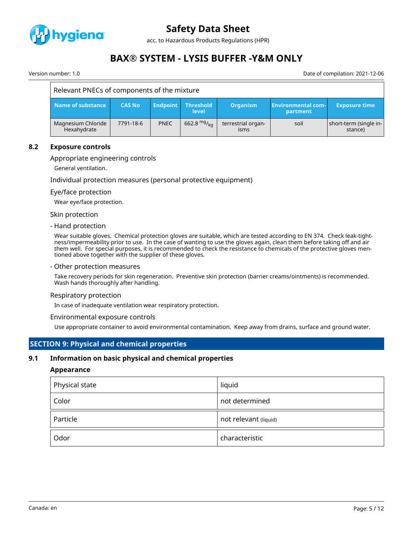

acc. to Hazardous Products Regulations (HPR)

# **BAX® SYSTEM - LYSIS BUFFER -Y&M ONLY**

Version number: 1.0 Date of compilation: 2021-12-06

| Relevant PNECs of components of the mixture |               |                 |                                  |                            |                                       |                                   |
|---------------------------------------------|---------------|-----------------|----------------------------------|----------------------------|---------------------------------------|-----------------------------------|
| Name of substance                           | <b>CAS No</b> | <b>Endpoint</b> | <b>Threshold</b><br><b>level</b> | <b>Organism</b>            | <b>Environmental com-</b><br>partment | <b>Exposure time</b>              |
| Magnesium Chloride<br>Hexahydrate           | 7791-18-6     | <b>PNEC</b>     | 662.8 $mg/kq$                    | terrestrial organ-<br>isms | soil                                  | short-term (single in-<br>stance) |

### **8.2 Exposure controls**

#### Appropriate engineering controls

General ventilation.

Individual protection measures (personal protective equipment)

#### Eye/face protection

Wear eye/face protection.

Skin protection

#### - Hand protection

Wear suitable gloves. Chemical protection gloves are suitable, which are tested according to EN 374. Check leak-tightness/impermeability prior to use. In the case of wanting to use the gloves again, clean them before taking off and air them well. For special purposes, it is recommended to check the resistance to chemicals of the protective gloves mentioned above together with the supplier of these gloves.

- Other protection measures

Take recovery periods for skin regeneration. Preventive skin protection (barrier creams/ointments) is recommended. Wash hands thoroughly after handling.

#### Respiratory protection

In case of inadequate ventilation wear respiratory protection.

#### Environmental exposure controls

Use appropriate container to avoid environmental contamination. Keep away from drains, surface and ground water.

### **SECTION 9: Physical and chemical properties**

#### **9.1 Information on basic physical and chemical properties**

#### **Appearance**

| Physical state | liquid                |
|----------------|-----------------------|
| Color          | not determined        |
| Particle       | not relevant (liquid) |
| Odor           | characteristic        |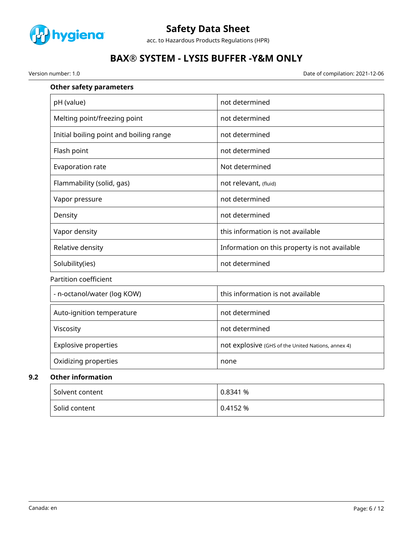

acc. to Hazardous Products Regulations (HPR)

# **BAX® SYSTEM - LYSIS BUFFER -Y&M ONLY**

Version number: 1.0 Date of compilation: 2021-12-06

| <b>Other safety parameters</b>          |                                                    |
|-----------------------------------------|----------------------------------------------------|
| pH (value)                              | not determined                                     |
| Melting point/freezing point            | not determined                                     |
| Initial boiling point and boiling range | not determined                                     |
| Flash point                             | not determined                                     |
| Evaporation rate                        | Not determined                                     |
| Flammability (solid, gas)               | not relevant, (fluid)                              |
| Vapor pressure                          | not determined                                     |
| Density                                 | not determined                                     |
| Vapor density                           | this information is not available                  |
| Relative density                        | Information on this property is not available      |
| Solubility(ies)                         | not determined                                     |
| <b>Partition coefficient</b>            |                                                    |
| - n-octanol/water (log KOW)             | this information is not available                  |
| Auto-ignition temperature               | not determined                                     |
| Viscosity                               | not determined                                     |
| <b>Explosive properties</b>             | not explosive (GHS of the United Nations, annex 4) |
| Oxidizing properties                    | none                                               |
| <b>Other information</b>                |                                                    |
| Solvent content                         | 0.8341%                                            |

| Solvent content            | 0.8341 %     |
|----------------------------|--------------|
| <sup>l</sup> Solid content | $0.4152\ \%$ |

**9.2 Other information**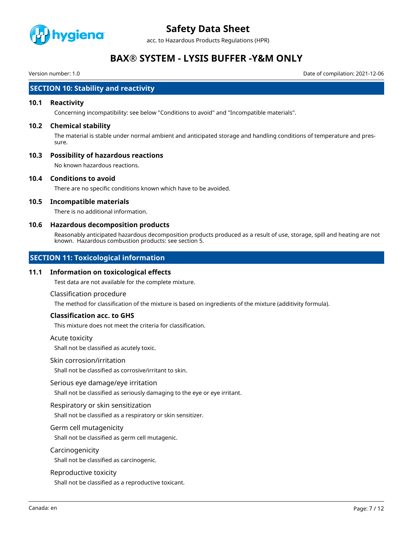

acc. to Hazardous Products Regulations (HPR)

# **BAX® SYSTEM - LYSIS BUFFER -Y&M ONLY**

Version number: 1.0 Date of compilation: 2021-12-06

# **SECTION 10: Stability and reactivity**

### **10.1 Reactivity**

Concerning incompatibility: see below "Conditions to avoid" and "Incompatible materials".

### **10.2 Chemical stability**

The material is stable under normal ambient and anticipated storage and handling conditions of temperature and pressure.

## **10.3 Possibility of hazardous reactions**

No known hazardous reactions.

#### **10.4 Conditions to avoid**

There are no specific conditions known which have to be avoided.

## **10.5 Incompatible materials**

There is no additional information.

#### **10.6 Hazardous decomposition products**

Reasonably anticipated hazardous decomposition products produced as a result of use, storage, spill and heating are not known. Hazardous combustion products: see section 5.

# **SECTION 11: Toxicological information**

#### **11.1 Information on toxicological effects**

Test data are not available for the complete mixture.

#### Classification procedure

The method for classification of the mixture is based on ingredients of the mixture (additivity formula).

# **Classification acc. to GHS**

This mixture does not meet the criteria for classification.

#### Acute toxicity

Shall not be classified as acutely toxic.

#### Skin corrosion/irritation

Shall not be classified as corrosive/irritant to skin.

#### Serious eye damage/eye irritation

Shall not be classified as seriously damaging to the eye or eye irritant.

#### Respiratory or skin sensitization

Shall not be classified as a respiratory or skin sensitizer.

## Germ cell mutagenicity

Shall not be classified as germ cell mutagenic.

#### Carcinogenicity

Shall not be classified as carcinogenic.

#### Reproductive toxicity

Shall not be classified as a reproductive toxicant.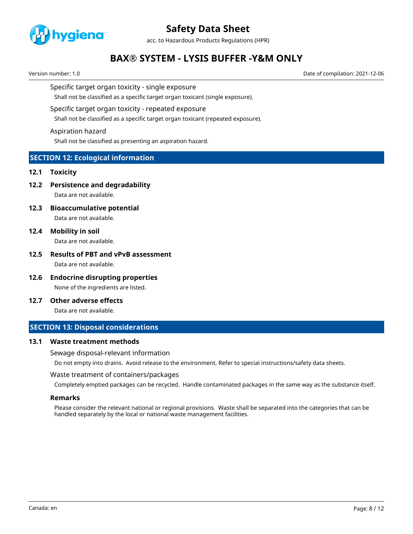

acc. to Hazardous Products Regulations (HPR)

# **BAX® SYSTEM - LYSIS BUFFER -Y&M ONLY**

Version number: 1.0 Date of compilation: 2021-12-06

#### Specific target organ toxicity - single exposure

Shall not be classified as a specific target organ toxicant (single exposure).

#### Specific target organ toxicity - repeated exposure

Shall not be classified as a specific target organ toxicant (repeated exposure).

#### Aspiration hazard

Shall not be classified as presenting an aspiration hazard.

# **SECTION 12: Ecological information**

#### **12.1 Toxicity**

**12.2 Persistence and degradability**

Data are not available.

**12.3 Bioaccumulative potential**

Data are not available.

**12.4 Mobility in soil**

Data are not available.

## **12.5 Results of PBT and vPvB assessment** Data are not available.

- **12.6 Endocrine disrupting properties** None of the ingredients are listed.
- **12.7 Other adverse effects**

Data are not available.

# **SECTION 13: Disposal considerations**

#### **13.1 Waste treatment methods**

Sewage disposal-relevant information

Do not empty into drains. Avoid release to the environment. Refer to special instructions/safety data sheets.

#### Waste treatment of containers/packages

Completely emptied packages can be recycled. Handle contaminated packages in the same way as the substance itself.

#### **Remarks**

Please consider the relevant national or regional provisions. Waste shall be separated into the categories that can be handled separately by the local or national waste management facilities.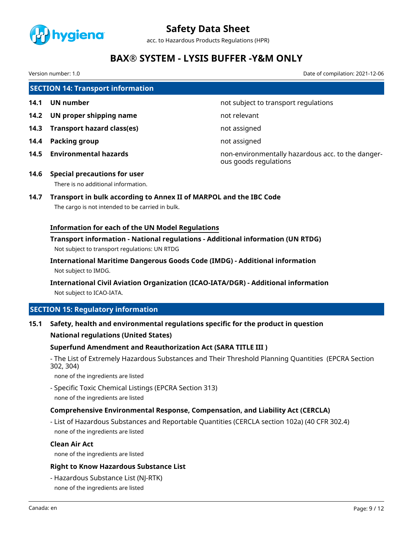

acc. to Hazardous Products Regulations (HPR)

# **BAX® SYSTEM - LYSIS BUFFER -Y&M ONLY**

Version number: 1.0 Date of compilation: 2021-12-06

**SECTION 14: Transport information**

- 
- **14.2 UN proper shipping name** not relevant
- **14.3 Transport hazard class(es)** not assigned
- **14.4 Packing group not assigned**
- 

**14.1 UN number 14.1 UN** number

**14.5 Environmental hazards** non-environmentally hazardous acc. to the dangerous goods regulations

**14.6 Special precautions for user** There is no additional information.

# **14.7 Transport in bulk according to Annex II of MARPOL and the IBC Code**

The cargo is not intended to be carried in bulk.

# **Information for each of the UN Model Regulations**

# **Transport information - National regulations - Additional information (UN RTDG)** Not subject to transport regulations: UN RTDG

**International Maritime Dangerous Goods Code (IMDG) - Additional information** Not subject to IMDG.

# **International Civil Aviation Organization (ICAO-IATA/DGR) - Additional information** Not subject to ICAO-IATA.

# **SECTION 15: Regulatory information**

# **15.1 Safety, health and environmental regulations specific for the product in question**

# **National regulations (United States)**

# **Superfund Amendment and Reauthorization Act (SARA TITLE III )**

- The List of Extremely Hazardous Substances and Their Threshold Planning Quantities (EPCRA Section 302, 304)

none of the ingredients are listed

- Specific Toxic Chemical Listings (EPCRA Section 313) none of the ingredients are listed

# **Comprehensive Environmental Response, Compensation, and Liability Act (CERCLA)**

- List of Hazardous Substances and Reportable Quantities (CERCLA section 102a) (40 CFR 302.4) none of the ingredients are listed

### **Clean Air Act**

none of the ingredients are listed

### **Right to Know Hazardous Substance List**

- Hazardous Substance List (NJ-RTK) none of the ingredients are listed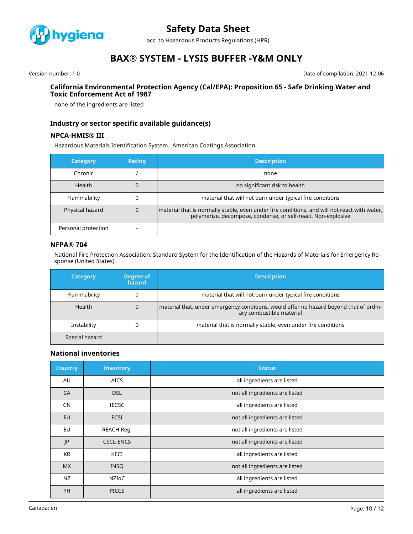

acc. to Hazardous Products Regulations (HPR)

# **BAX® SYSTEM - LYSIS BUFFER -Y&M ONLY**

Version number: 1.0 Date of compilation: 2021-12-06

#### **California Environmental Protection Agency (Cal/EPA): Proposition 65 - Safe Drinking Water and Toxic Enforcement Act of 1987**

none of the ingredients are listed

## **Industry or sector specific available guidance(s)**

### **NPCA-HMIS® III**

Hazardous Materials Identification System. American Coatings Association.

| <b>Category</b>     | Rating | <b>Description</b>                                                                                                                                              |
|---------------------|--------|-----------------------------------------------------------------------------------------------------------------------------------------------------------------|
| Chronic             |        | none                                                                                                                                                            |
| <b>Health</b>       |        | no significant risk to health                                                                                                                                   |
| Flammability        |        | material that will not burn under typical fire conditions                                                                                                       |
| Physical hazard     |        | material that is normally stable, even under fire conditions, and will not react with water,  <br>polymerize, decompose, condense, or self-react. Non-explosive |
| Personal protection |        |                                                                                                                                                                 |

### **NFPA® 704**

National Fire Protection Association: Standard System for the Identification of the Hazards of Materials for Emergency Response (United States).

| <b>Category</b> | Degree of<br>hazard | <b>Description</b>                                                                                                 |
|-----------------|---------------------|--------------------------------------------------------------------------------------------------------------------|
| Flammability    |                     | material that will not burn under typical fire conditions                                                          |
| Health          | 0                   | material that, under emergency conditions, would offer no hazard beyond that of ordin-<br>ary combustible material |
| Instability     |                     | material that is normally stable, even under fire conditions                                                       |
| Special hazard  |                     |                                                                                                                    |

### **National inventories**

| <b>Country</b> | <b>Inventory</b> | <b>Status</b>                  |
|----------------|------------------|--------------------------------|
| AU             | <b>AICS</b>      | all ingredients are listed     |
| CA             | <b>DSL</b>       | not all ingredients are listed |
| <b>CN</b>      | <b>IECSC</b>     | all ingredients are listed     |
| EU             | <b>ECSI</b>      | not all ingredients are listed |
| EU             | REACH Req.       | not all ingredients are listed |
| JP             | <b>CSCL-ENCS</b> | not all ingredients are listed |
| <b>KR</b>      | KECI             | all ingredients are listed     |
| <b>MX</b>      | <b>INSO</b>      | not all ingredients are listed |
| <b>NZ</b>      | <b>NZIOC</b>     | all ingredients are listed     |
| <b>PH</b>      | <b>PICCS</b>     | all ingredients are listed     |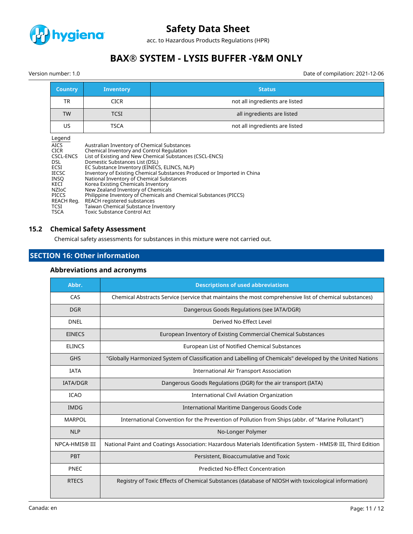

acc. to Hazardous Products Regulations (HPR)

# **BAX® SYSTEM - LYSIS BUFFER -Y&M ONLY**

Version number: 1.0 Date of compilation: 2021-12-06

| <b>Country</b>                                                                                                                                                               | <b>Status</b><br><b>Inventory</b>                                                                                                                                                                                                                                                                                                                                                                                                                                                                                                                                                                                           |                                |  |  |  |
|------------------------------------------------------------------------------------------------------------------------------------------------------------------------------|-----------------------------------------------------------------------------------------------------------------------------------------------------------------------------------------------------------------------------------------------------------------------------------------------------------------------------------------------------------------------------------------------------------------------------------------------------------------------------------------------------------------------------------------------------------------------------------------------------------------------------|--------------------------------|--|--|--|
| TR                                                                                                                                                                           | <b>CICR</b>                                                                                                                                                                                                                                                                                                                                                                                                                                                                                                                                                                                                                 | not all ingredients are listed |  |  |  |
| <b>TW</b>                                                                                                                                                                    | <b>TCSI</b>                                                                                                                                                                                                                                                                                                                                                                                                                                                                                                                                                                                                                 | all ingredients are listed     |  |  |  |
| US.                                                                                                                                                                          | <b>TSCA</b>                                                                                                                                                                                                                                                                                                                                                                                                                                                                                                                                                                                                                 | not all ingredients are listed |  |  |  |
| Legend<br><b>AICS</b><br><b>CICR</b><br>CSCL-ENCS<br><b>DSL</b><br>ECSI<br><b>IECSC</b><br><b>INSO</b><br>KECI<br>NZIoC<br><b>PICCS</b><br>REACH Reg.<br>TCSI<br><b>TSCA</b> | Australian Inventory of Chemical Substances<br>Chemical Inventory and Control Regulation<br>List of Existing and New Chemical Substances (CSCL-ENCS)<br>Domestic Substances List (DSL)<br>EC Substance Inventory (EINECS, ELINCS, NLP)<br>Inventory of Existing Chemical Substances Produced or Imported in China<br>National Inventory of Chemical Substances<br>Korea Existing Chemicals Inventory<br>New Zealand Inventory of Chemicals<br>Philippine Inventory of Chemicals and Chemical Substances (PICCS)<br>REACH registered substances<br>Taiwan Chemical Substance Inventory<br><b>Toxic Substance Control Act</b> |                                |  |  |  |

# **15.2 Chemical Safety Assessment**

Chemical safety assessments for substances in this mixture were not carried out.

# **SECTION 16: Other information**

## **Abbreviations and acronyms**

| Abbr.           | <b>Descriptions of used abbreviations</b>                                                                     |  |  |
|-----------------|---------------------------------------------------------------------------------------------------------------|--|--|
| CAS             | Chemical Abstracts Service (service that maintains the most comprehensive list of chemical substances)        |  |  |
| <b>DGR</b>      | Dangerous Goods Regulations (see IATA/DGR)                                                                    |  |  |
| <b>DNEL</b>     | Derived No-Effect Level                                                                                       |  |  |
| <b>EINECS</b>   | European Inventory of Existing Commercial Chemical Substances                                                 |  |  |
| <b>ELINCS</b>   | European List of Notified Chemical Substances                                                                 |  |  |
| <b>GHS</b>      | "Globally Harmonized System of Classification and Labelling of Chemicals" developed by the United Nations     |  |  |
| <b>IATA</b>     | <b>International Air Transport Association</b>                                                                |  |  |
| <b>IATA/DGR</b> | Dangerous Goods Regulations (DGR) for the air transport (IATA)                                                |  |  |
| <b>ICAO</b>     | International Civil Aviation Organization                                                                     |  |  |
| <b>IMDG</b>     | International Maritime Dangerous Goods Code                                                                   |  |  |
| <b>MARPOL</b>   | International Convention for the Prevention of Pollution from Ships (abbr. of "Marine Pollutant")             |  |  |
| <b>NLP</b>      | No-Longer Polymer                                                                                             |  |  |
| NPCA-HMIS® III  | National Paint and Coatings Association: Hazardous Materials Identification System - HMIS® III, Third Edition |  |  |
| PBT             | Persistent, Bioaccumulative and Toxic                                                                         |  |  |
| <b>PNEC</b>     | <b>Predicted No-Effect Concentration</b>                                                                      |  |  |
| <b>RTECS</b>    | Registry of Toxic Effects of Chemical Substances (database of NIOSH with toxicological information)           |  |  |